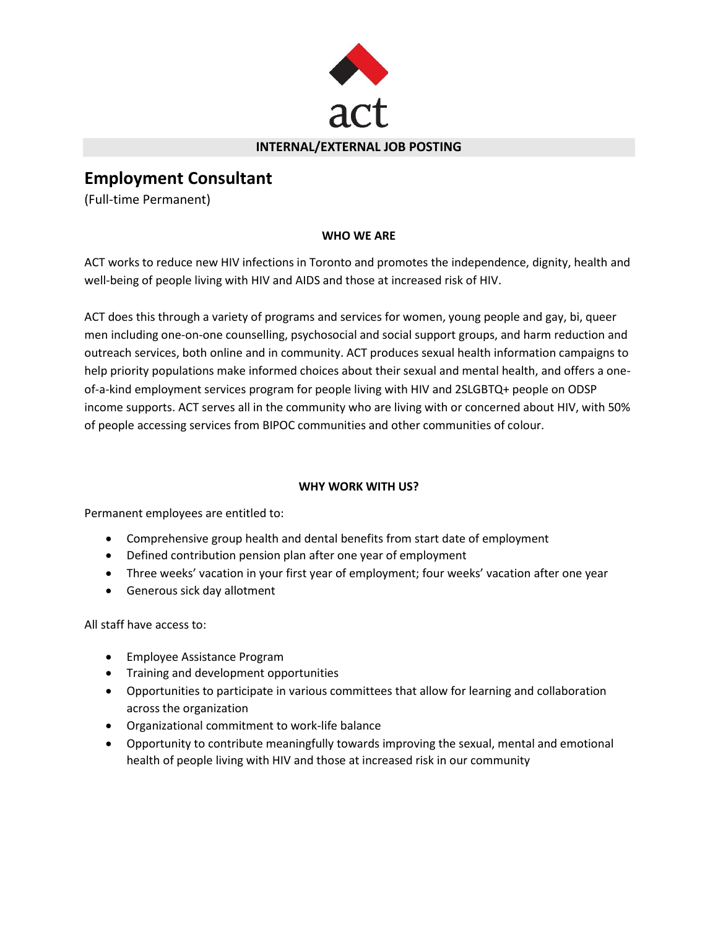

#### **INTERNAL/EXTERNAL JOB POSTING**

# **Employment Consultant**

(Full-time Permanent)

# **WHO WE ARE**

ACT works to reduce new HIV infections in Toronto and promotes the independence, dignity, health and well-being of people living with HIV and AIDS and those at increased risk of HIV.

ACT does this through a variety of programs and services for women, young people and gay, bi, queer men including one-on-one counselling, psychosocial and social support groups, and harm reduction and outreach services, both online and in community. ACT produces sexual health information campaigns to help priority populations make informed choices about their sexual and mental health, and offers a oneof-a-kind employment services program for people living with HIV and 2SLGBTQ+ people on ODSP income supports. ACT serves all in the community who are living with or concerned about HIV, with 50% of people accessing services from BIPOC communities and other communities of colour.

## **WHY WORK WITH US?**

Permanent employees are entitled to:

- Comprehensive group health and dental benefits from start date of employment
- Defined contribution pension plan after one year of employment
- Three weeks' vacation in your first year of employment; four weeks' vacation after one year
- Generous sick day allotment

All staff have access to:

- Employee Assistance Program
- Training and development opportunities
- Opportunities to participate in various committees that allow for learning and collaboration across the organization
- Organizational commitment to work-life balance
- Opportunity to contribute meaningfully towards improving the sexual, mental and emotional health of people living with HIV and those at increased risk in our community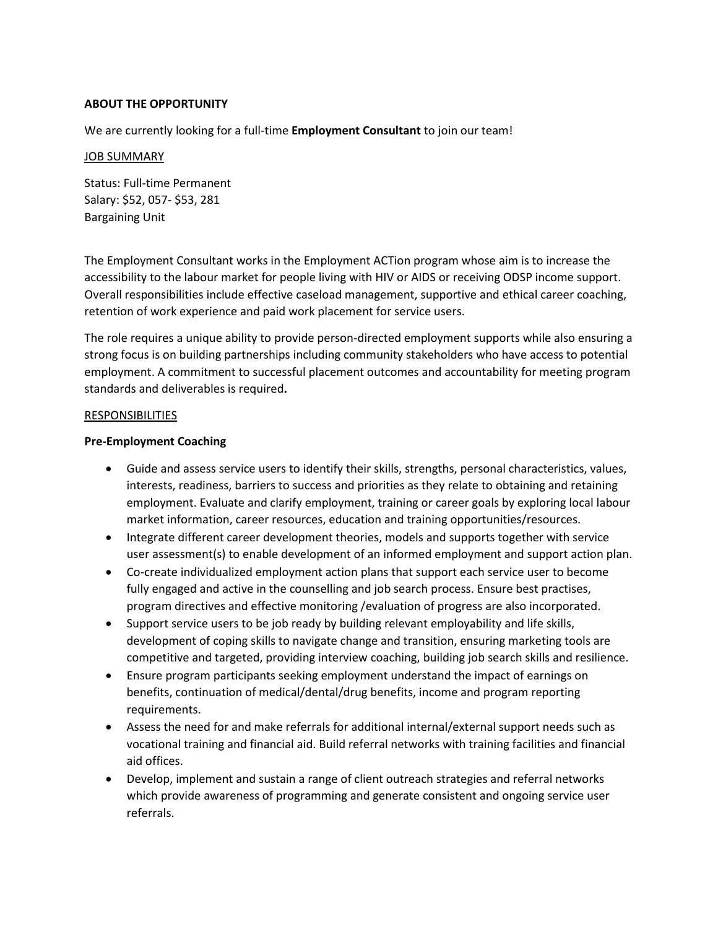#### **ABOUT THE OPPORTUNITY**

We are currently looking for a full-time **Employment Consultant** to join our team!

#### JOB SUMMARY

Status: Full-time Permanent Salary: \$52, 057- \$53, 281 Bargaining Unit

The Employment Consultant works in the Employment ACTion program whose aim is to increase the accessibility to the labour market for people living with HIV or AIDS or receiving ODSP income support. Overall responsibilities include effective caseload management, supportive and ethical career coaching, retention of work experience and paid work placement for service users.

The role requires a unique ability to provide person-directed employment supports while also ensuring a strong focus is on building partnerships including community stakeholders who have access to potential employment. A commitment to successful placement outcomes and accountability for meeting program standards and deliverables is required**.**

#### RESPONSIBILITIES

#### **Pre-Employment Coaching**

- Guide and assess service users to identify their skills, strengths, personal characteristics, values, interests, readiness, barriers to success and priorities as they relate to obtaining and retaining employment. Evaluate and clarify employment, training or career goals by exploring local labour market information, career resources, education and training opportunities/resources.
- Integrate different career development theories, models and supports together with service user assessment(s) to enable development of an informed employment and support action plan.
- Co-create individualized employment action plans that support each service user to become fully engaged and active in the counselling and job search process. Ensure best practises, program directives and effective monitoring /evaluation of progress are also incorporated.
- Support service users to be job ready by building relevant employability and life skills, development of coping skills to navigate change and transition, ensuring marketing tools are competitive and targeted, providing interview coaching, building job search skills and resilience.
- Ensure program participants seeking employment understand the impact of earnings on benefits, continuation of medical/dental/drug benefits, income and program reporting requirements.
- Assess the need for and make referrals for additional internal/external support needs such as vocational training and financial aid. Build referral networks with training facilities and financial aid offices.
- Develop, implement and sustain a range of client outreach strategies and referral networks which provide awareness of programming and generate consistent and ongoing service user referrals.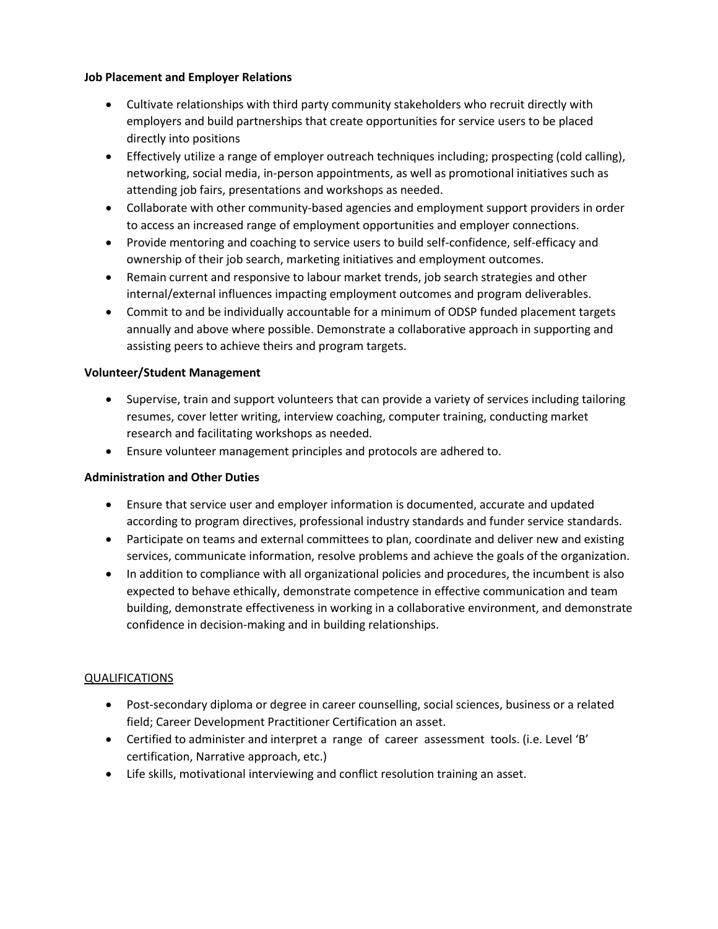## **Job Placement and Employer Relations**

- Cultivate relationships with third party community stakeholders who recruit directly with employers and build partnerships that create opportunities for service users to be placed directly into positions
- Effectively utilize a range of employer outreach techniques including; prospecting (cold calling), networking, social media, in-person appointments, as well as promotional initiatives such as attending job fairs, presentations and workshops as needed.
- Collaborate with other community-based agencies and employment support providers in order to access an increased range of employment opportunities and employer connections.
- Provide mentoring and coaching to service users to build self-confidence, self-efficacy and ownership of their job search, marketing initiatives and employment outcomes.
- Remain current and responsive to labour market trends, job search strategies and other internal/external influences impacting employment outcomes and program deliverables.
- Commit to and be individually accountable for a minimum of ODSP funded placement targets annually and above where possible. Demonstrate a collaborative approach in supporting and assisting peers to achieve theirs and program targets.

# **Volunteer/Student Management**

- Supervise, train and support volunteers that can provide a variety of services including tailoring resumes, cover letter writing, interview coaching, computer training, conducting market research and facilitating workshops as needed.
- Ensure volunteer management principles and protocols are adhered to.

## **Administration and Other Duties**

- Ensure that service user and employer information is documented, accurate and updated according to program directives, professional industry standards and funder service standards.
- Participate on teams and external committees to plan, coordinate and deliver new and existing services, communicate information, resolve problems and achieve the goals of the organization.
- In addition to compliance with all organizational policies and procedures, the incumbent is also expected to behave ethically, demonstrate competence in effective communication and team building, demonstrate effectiveness in working in a collaborative environment, and demonstrate confidence in decision-making and in building relationships.

## **QUALIFICATIONS**

- Post-secondary diploma or degree in career counselling, social sciences, business or a related field; Career Development Practitioner Certification an asset.
- Certified to administer and interpret a range of career assessment tools. (i.e. Level 'B' certification, Narrative approach, etc.)
- Life skills, motivational interviewing and conflict resolution training an asset.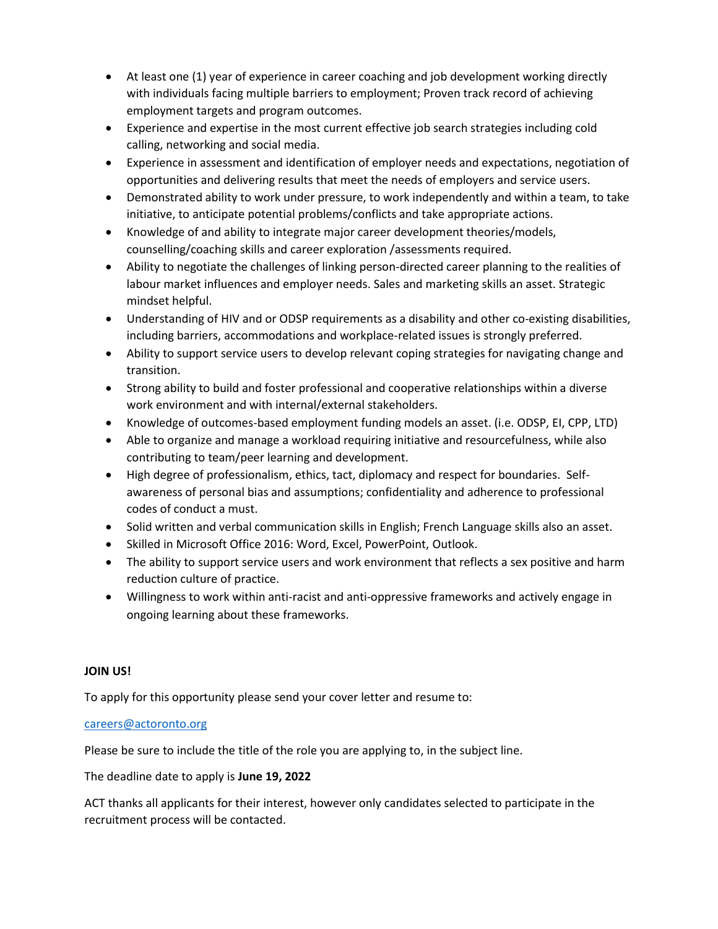- At least one (1) year of experience in career coaching and job development working directly with individuals facing multiple barriers to employment; Proven track record of achieving employment targets and program outcomes.
- Experience and expertise in the most current effective job search strategies including cold calling, networking and social media.
- Experience in assessment and identification of employer needs and expectations, negotiation of opportunities and delivering results that meet the needs of employers and service users.
- Demonstrated ability to work under pressure, to work independently and within a team, to take initiative, to anticipate potential problems/conflicts and take appropriate actions.
- Knowledge of and ability to integrate major career development theories/models, counselling/coaching skills and career exploration /assessments required.
- Ability to negotiate the challenges of linking person-directed career planning to the realities of labour market influences and employer needs. Sales and marketing skills an asset. Strategic mindset helpful.
- Understanding of HIV and or ODSP requirements as a disability and other co-existing disabilities, including barriers, accommodations and workplace-related issues is strongly preferred.
- Ability to support service users to develop relevant coping strategies for navigating change and transition.
- Strong ability to build and foster professional and cooperative relationships within a diverse work environment and with internal/external stakeholders.
- Knowledge of outcomes-based employment funding models an asset. (i.e. ODSP, EI, CPP, LTD)
- Able to organize and manage a workload requiring initiative and resourcefulness, while also contributing to team/peer learning and development.
- High degree of professionalism, ethics, tact, diplomacy and respect for boundaries. Selfawareness of personal bias and assumptions; confidentiality and adherence to professional codes of conduct a must.
- Solid written and verbal communication skills in English; French Language skills also an asset.
- Skilled in Microsoft Office 2016: Word, Excel, PowerPoint, Outlook.
- The ability to support service users and work environment that reflects a sex positive and harm reduction culture of practice.
- Willingness to work within anti-racist and anti-oppressive frameworks and actively engage in ongoing learning about these frameworks.

# **JOIN US!**

To apply for this opportunity please send your cover letter and resume to:

# [careers@actoronto.org](mailto:careers@actoronto.org)

Please be sure to include the title of the role you are applying to, in the subject line.

The deadline date to apply is **June 19, 2022**

ACT thanks all applicants for their interest, however only candidates selected to participate in the recruitment process will be contacted.